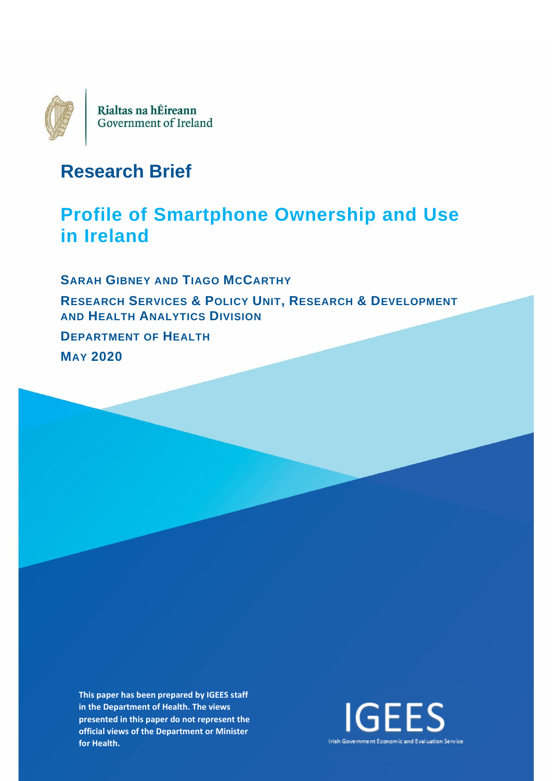

# **Research Brief**

# **Profile of Smartphone Ownership and Use in Ireland**

**SARAH GIBNEY AND TIAGO MCCARTHY RESEARCH SERVICES & POLICY UNIT, RESEARCH & DEVELOPMENT AND HEALTH ANALYTICS DIVISION DEPARTMENT OF HEALTH MAY 2020**

**This paper has been prepared by IGEES staff in the Department of Health. The views presented in this paper do not represent the official views of the Department or Minister for Health.**

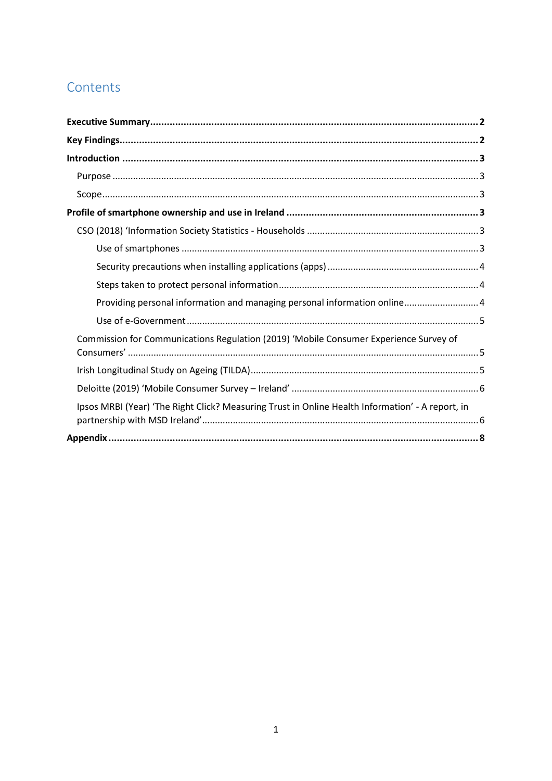# Contents

| Providing personal information and managing personal information online 4                        |  |
|--------------------------------------------------------------------------------------------------|--|
|                                                                                                  |  |
| Commission for Communications Regulation (2019) 'Mobile Consumer Experience Survey of            |  |
|                                                                                                  |  |
|                                                                                                  |  |
| Ipsos MRBI (Year) 'The Right Click? Measuring Trust in Online Health Information' - A report, in |  |
|                                                                                                  |  |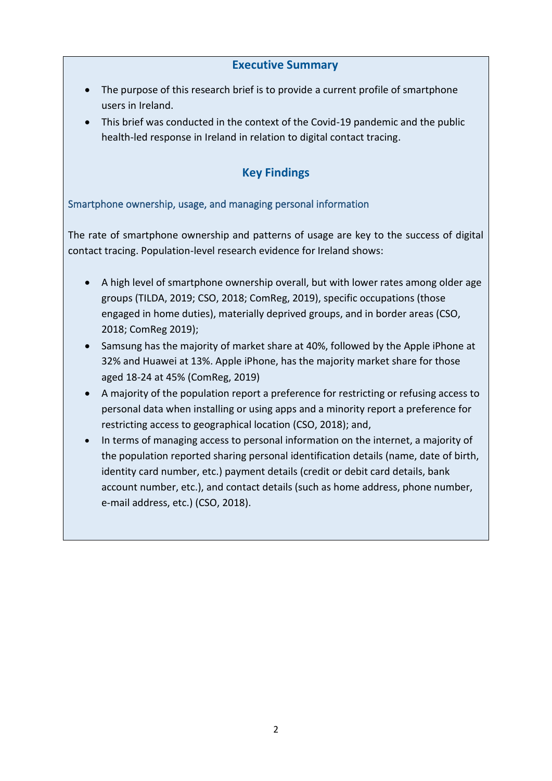### **Executive Summary**

- <span id="page-2-0"></span>• The purpose of this research brief is to provide a current profile of smartphone users in Ireland.
- This brief was conducted in the context of the Covid-19 pandemic and the public health-led response in Ireland in relation to digital contact tracing.

## **Key Findings**

### <span id="page-2-1"></span>Smartphone ownership, usage, and managing personal information

The rate of smartphone ownership and patterns of usage are key to the success of digital contact tracing. Population-level research evidence for Ireland shows:

- A high level of smartphone ownership overall, but with lower rates among older age groups (TILDA, 2019; CSO, 2018; ComReg, 2019), specific occupations (those engaged in home duties), materially deprived groups, and in border areas (CSO, 2018; ComReg 2019);
- Samsung has the majority of market share at 40%, followed by the Apple iPhone at 32% and Huawei at 13%. Apple iPhone, has the majority market share for those aged 18-24 at 45% (ComReg, 2019)
- A majority of the population report a preference for restricting or refusing access to personal data when installing or using apps and a minority report a preference for restricting access to geographical location (CSO, 2018); and,
- In terms of managing access to personal information on the internet, a majority of the population reported sharing personal identification details (name, date of birth, identity card number, etc.) payment details (credit or debit card details, bank account number, etc.), and contact details (such as home address, phone number, e-mail address, etc.) (CSO, 2018).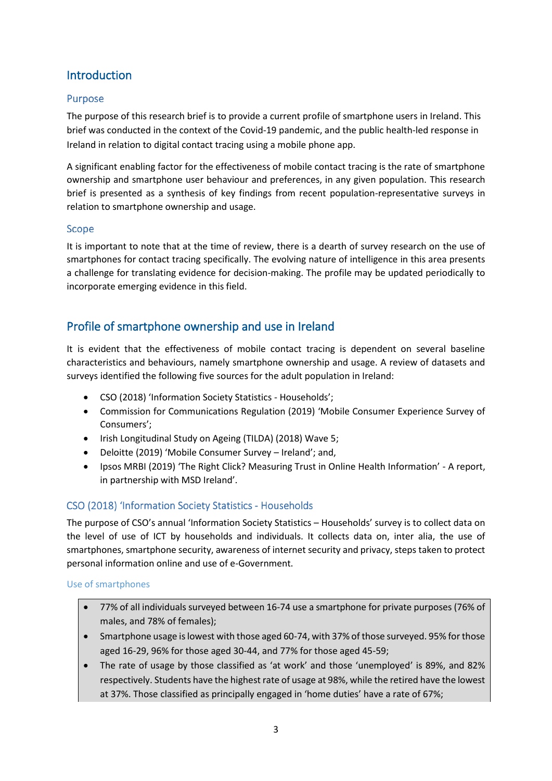## <span id="page-3-0"></span>Introduction

#### <span id="page-3-1"></span>Purpose

The purpose of this research brief is to provide a current profile of smartphone users in Ireland. This brief was conducted in the context of the Covid-19 pandemic, and the public health-led response in Ireland in relation to digital contact tracing using a mobile phone app.

A significant enabling factor for the effectiveness of mobile contact tracing is the rate of smartphone ownership and smartphone user behaviour and preferences, in any given population. This research brief is presented as a synthesis of key findings from recent population-representative surveys in relation to smartphone ownership and usage.

#### <span id="page-3-2"></span>Scope

It is important to note that at the time of review, there is a dearth of survey research on the use of smartphones for contact tracing specifically. The evolving nature of intelligence in this area presents a challenge for translating evidence for decision-making. The profile may be updated periodically to incorporate emerging evidence in this field.

## <span id="page-3-3"></span>Profile of smartphone ownership and use in Ireland

It is evident that the effectiveness of mobile contact tracing is dependent on several baseline characteristics and behaviours, namely smartphone ownership and usage. A review of datasets and surveys identified the following five sources for the adult population in Ireland:

- CSO (2018) '[Information Society Statistics -](https://www.cso.ie/en/statistics/informationsociety/ictusagebyhouseholds/) Households';
- Commission for Communications Regulation (2019) 'Mobile Consumer Experience Survey of Consumers';
- Irish Longitudinal Study on Ageing (TILDA) (2018) Wave 5;
- Deloitte (2019) 'Mobile Consumer Survey Ireland'; and,
- Ipsos MRBI (2019) 'The Right Click? Measuring Trust in Online Health Information' A report, in partnership with MSD Ireland'.

#### <span id="page-3-4"></span>CSO (2018) 'Information Society Statistics - Households

The purpose of CSO's annual 'Information Society Statistics – Households' survey is to collect data on the level of use of ICT by households and individuals. It collects data on, inter alia, the use of smartphones, smartphone security, awareness of internet security and privacy, steps taken to protect personal information online and use of e-Government.

#### <span id="page-3-5"></span>Use of smartphones

- 77% of all individuals surveyed between 16-74 use a smartphone for private purposes (76% of males, and 78% of females);
- Smartphone usage is lowest with those aged 60-74, with 37% of those surveyed. 95% for those aged 16-29, 96% for those aged 30-44, and 77% for those aged 45-59;
- The rate of usage by those classified as 'at work' and those 'unemployed' is 89%, and 82% respectively. Students have the highest rate of usage at 98%, while the retired have the lowest at 37%. Those classified as principally engaged in 'home duties' have a rate of 67%;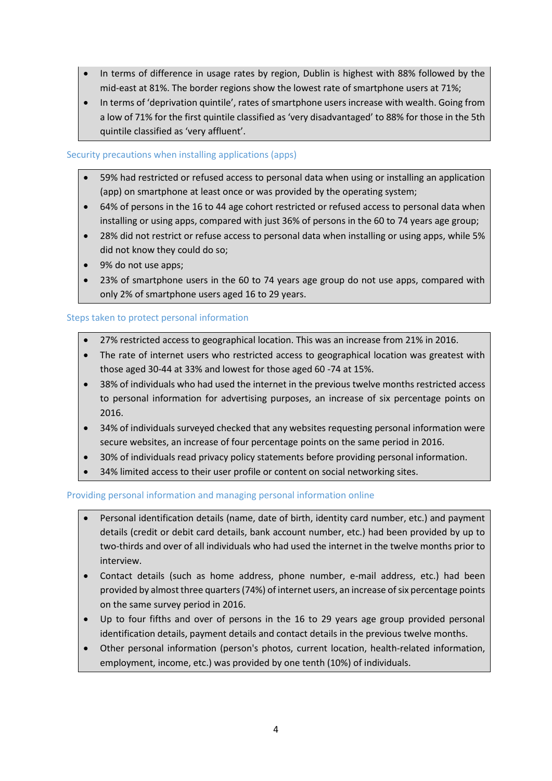- In terms of difference in usage rates by region, Dublin is highest with 88% followed by the mid-east at 81%. The border regions show the lowest rate of smartphone users at 71%;
- In terms of 'deprivation quintile', rates of smartphone users increase with wealth. Going from a low of 71% for the first quintile classified as 'very disadvantaged' to 88% for those in the 5th quintile classified as 'very affluent'.

#### <span id="page-4-0"></span>Security precautions when installing applications (apps)

- 59% had restricted or refused access to personal data when using or installing an application (app) on smartphone at least once or was provided by the operating system;
- 64% of persons in the 16 to 44 age cohort restricted or refused access to personal data when installing or using apps, compared with just 36% of persons in the 60 to 74 years age group;
- 28% did not restrict or refuse access to personal data when installing or using apps, while 5% did not know they could do so;
- 9% do not use apps;
- 23% of smartphone users in the 60 to 74 years age group do not use apps, compared with only 2% of smartphone users aged 16 to 29 years.

#### <span id="page-4-1"></span>Steps taken to protect personal information

- 27% restricted access to geographical location. This was an increase from 21% in 2016.
- The rate of internet users who restricted access to geographical location was greatest with those aged 30-44 at 33% and lowest for those aged 60 -74 at 15%.
- 38% of individuals who had used the internet in the previous twelve months restricted access to personal information for advertising purposes, an increase of six percentage points on 2016.
- 34% of individuals surveyed checked that any websites requesting personal information were secure websites, an increase of four percentage points on the same period in 2016.
- 30% of individuals read privacy policy statements before providing personal information.
- 34% limited access to their user profile or content on social networking sites.

#### <span id="page-4-2"></span>Providing personal information and managing personal information online

- Personal identification details (name, date of birth, identity card number, etc.) and payment details (credit or debit card details, bank account number, etc.) had been provided by up to two-thirds and over of all individuals who had used the internet in the twelve months prior to interview.
- Contact details (such as home address, phone number, e-mail address, etc.) had been provided by almost three quarters (74%) of internet users, an increase of six percentage points on the same survey period in 2016.
- Up to four fifths and over of persons in the 16 to 29 years age group provided personal identification details, payment details and contact details in the previous twelve months.
- <span id="page-4-3"></span>• Other personal information (person's photos, current location, health-related information, employment, income, etc.) was provided by one tenth (10%) of individuals.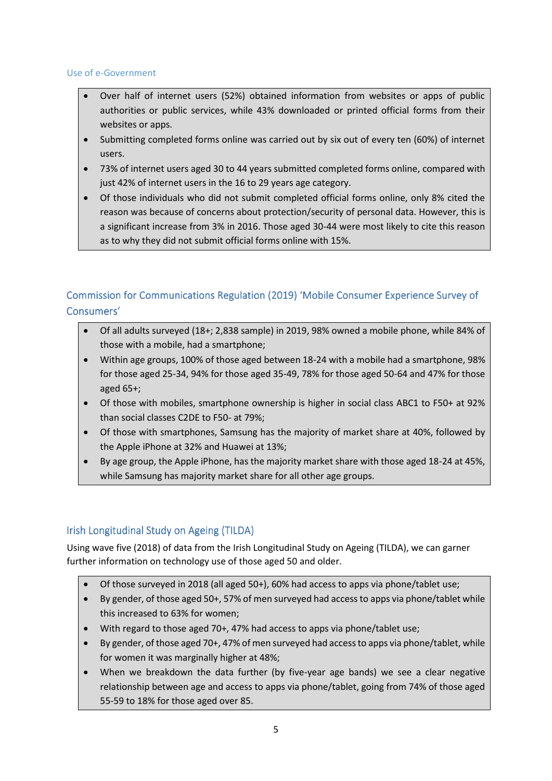#### Use of e-Government

- Over half of internet users (52%) obtained information from websites or apps of public authorities or public services, while 43% downloaded or printed official forms from their websites or apps.
- Submitting completed forms online was carried out by six out of every ten (60%) of internet users.
- 73% of internet users aged 30 to 44 years submitted completed forms online, compared with just 42% of internet users in the 16 to 29 years age category.
- <span id="page-5-0"></span>• Of those individuals who did not submit completed official forms online, only 8% cited the reason was because of concerns about protection/security of personal data. However, this is a significant increase from 3% in 2016. Those aged 30-44 were most likely to cite this reason as to why they did not submit official forms online with 15%.

## Commission for Communications Regulation (2019) 'Mobile Consumer Experience Survey of Consumers'

- Of all adults surveyed (18+; 2,838 sample) in 2019, 98% owned a mobile phone, while 84% of those with a mobile, had a smartphone;
- Within age groups, 100% of those aged between 18-24 with a mobile had a smartphone, 98% for those aged 25-34, 94% for those aged 35-49, 78% for those aged 50-64 and 47% for those aged 65+;
- Of those with mobiles, smartphone ownership is higher in social class ABC1 to F50+ at 92% than social classes C2DE to F50- at 79%;
- Of those with smartphones, Samsung has the majority of market share at 40%, followed by the Apple iPhone at 32% and Huawei at 13%;
- By age group, the Apple iPhone, has the majority market share with those aged 18-24 at 45%, while Samsung has majority market share for all other age groups.

## <span id="page-5-1"></span>Irish Longitudinal Study on Ageing (TILDA)

Using wave five (2018) of data from the Irish Longitudinal Study on Ageing (TILDA), we can garner further information on technology use of those aged 50 and older.

- Of those surveyed in 2018 (all aged 50+), 60% had access to apps via phone/tablet use;
- By gender, of those aged 50+, 57% of men surveyed had access to apps via phone/tablet while this increased to 63% for women;
- With regard to those aged 70+, 47% had access to apps via phone/tablet use;
- By gender, of those aged 70+, 47% of men surveyed had access to apps via phone/tablet, while for women it was marginally higher at 48%;
- When we breakdown the data further (by five-year age bands) we see a clear negative relationship between age and access to apps via phone/tablet, going from 74% of those aged 55-59 to 18% for those aged over 85.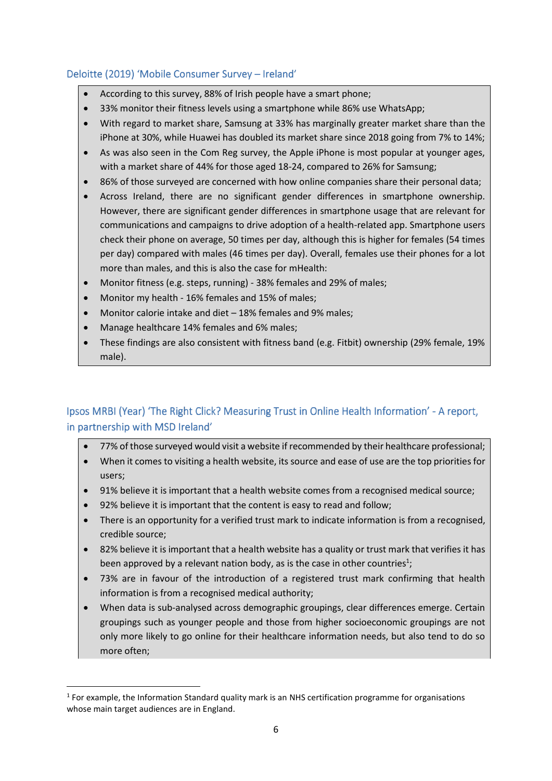## <span id="page-6-0"></span>Deloitte (2019) 'Mobile Consumer Survey - Ireland'

- According to this survey, 88% of Irish people have a smart phone;
- 33% monitor their fitness levels using a smartphone while 86% use WhatsApp;
- With regard to market share, Samsung at 33% has marginally greater market share than the iPhone at 30%, while Huawei has doubled its market share since 2018 going from 7% to 14%;
- As was also seen in the Com Reg survey, the Apple iPhone is most popular at younger ages, with a market share of 44% for those aged 18-24, compared to 26% for Samsung;
- 86% of those surveyed are concerned with how online companies share their personal data;
- Across Ireland, there are no significant gender differences in smartphone ownership. However, there are significant gender differences in smartphone usage that are relevant for communications and campaigns to drive adoption of a health-related app. Smartphone users check their phone on average, 50 times per day, although this is higher for females (54 times per day) compared with males (46 times per day). Overall, females use their phones for a lot more than males, and this is also the case for mHealth:
- Monitor fitness (e.g. steps, running) 38% females and 29% of males;
- Monitor my health 16% females and 15% of males;
- Monitor calorie intake and diet 18% females and 9% males;
- Manage healthcare 14% females and 6% males;
- These findings are also consistent with fitness band (e.g. Fitbit) ownership (29% female, 19% male).

## <span id="page-6-1"></span>Ipsos MRBI (Year) 'The Right Click? Measuring Trust in Online Health Information' - A report, in partnership with MSD Ireland'

- 77% of those surveyed would visit a website if recommended by their healthcare professional;
- When it comes to visiting a health website, its source and ease of use are the top priorities for users;
- 91% believe it is important that a health website comes from a recognised medical source;
- 92% believe it is important that the content is easy to read and follow;
- There is an opportunity for a verified trust mark to indicate information is from a recognised, credible source;
- 82% believe it is important that a health website has a quality or trust mark that verifies it has been approved by a relevant nation body, as is the case in other countries<sup>1</sup>;
- 73% are in favour of the introduction of a registered trust mark confirming that health information is from a recognised medical authority;
- When data is sub-analysed across demographic groupings, clear differences emerge. Certain groupings such as younger people and those from higher socioeconomic groupings are not only more likely to go online for their healthcare information needs, but also tend to do so more often;

<sup>&</sup>lt;sup>1</sup> For example, the Information Standard quality mark is an NHS certification programme for organisations whose main target audiences are in England.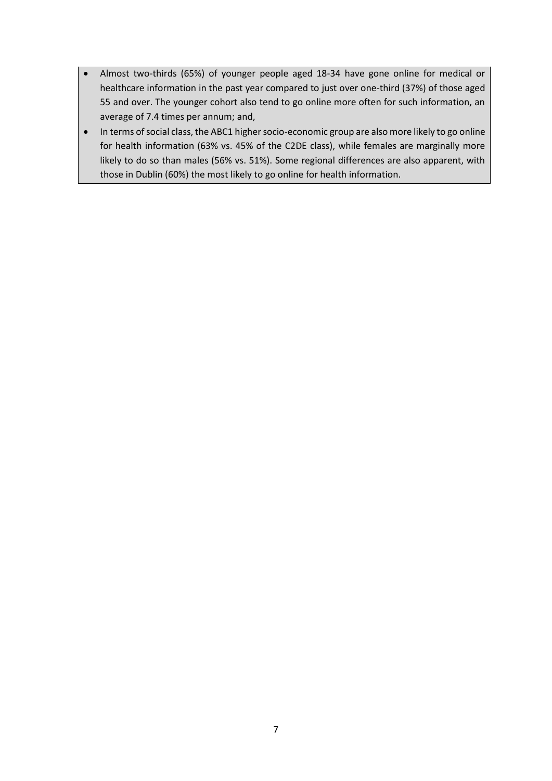- Almost two-thirds (65%) of younger people aged 18-34 have gone online for medical or healthcare information in the past year compared to just over one-third (37%) of those aged 55 and over. The younger cohort also tend to go online more often for such information, an average of 7.4 times per annum; and,
- In terms of social class, the ABC1 higher socio-economic group are also more likely to go online for health information (63% vs. 45% of the C2DE class), while females are marginally more likely to do so than males (56% vs. 51%). Some regional differences are also apparent, with those in Dublin (60%) the most likely to go online for health information.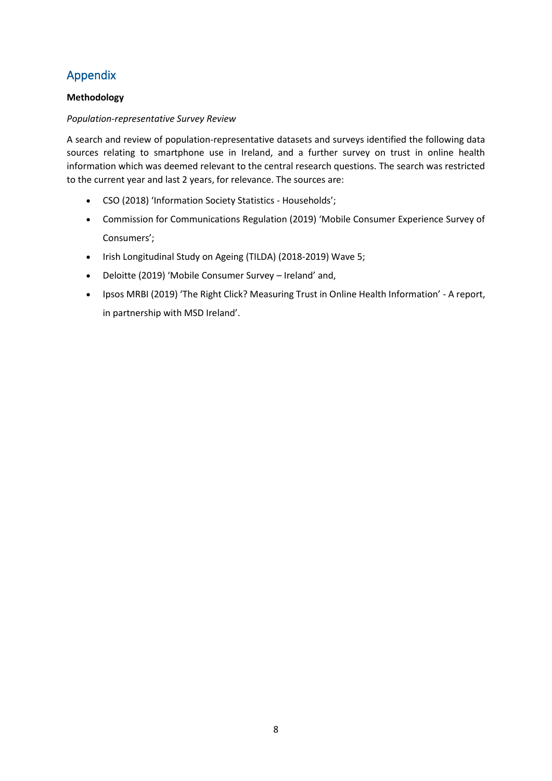# <span id="page-8-0"></span>Appendix

#### **Methodology**

#### *Population-representative Survey Review*

A search and review of population-representative datasets and surveys identified the following data sources relating to smartphone use in Ireland, and a further survey on trust in online health information which was deemed relevant to the central research questions. The search was restricted to the current year and last 2 years, for relevance. The sources are:

- CSO (2018) '[Information Society Statistics -](https://www.cso.ie/en/statistics/informationsociety/ictusagebyhouseholds/) Households';
- Commission for Communications Regulation (2019) 'Mobile Consumer Experience Survey of Consumers';
- Irish Longitudinal Study on Ageing (TILDA) (2018-2019) Wave 5;
- Deloitte (2019) 'Mobile Consumer Survey Ireland' and,
- Ipsos MRBI (2019) 'The Right Click? Measuring Trust in Online Health Information' A report, in partnership with MSD Ireland'.